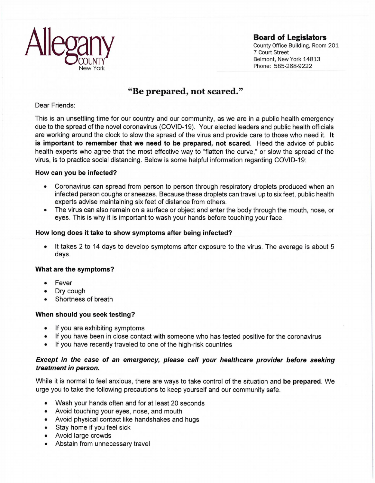

## **Board of Legislators**

County Office Building, Room 201 7 Court Street Belmont, New York 14813 Phone: 585-268-9222

# "Be prepared, not scared."

## Dear Friends:

This is an unsettling time for our country and our community, as we are in a public health emergency due to the spread of the novel coronavirus (COVID-19). Your elected leaders and public health officials are working around the clock to slow the spread of the virus and provide care to those who need it. **It is important to remember that we need to be prepared, not scared.** Heed the advice of public health experts who agree that the most effective way to "flatten the curve," or slow the spread of the virus, is to practice social distancing. Below is some helpful information regarding COVID-19:

## **How can you be infected?**

- Coronavirus can spread from person to person through respiratory droplets produced when an infected person coughs or sneezes. Because these droplets can travel up to six feet, public health experts advise maintaining six feet of distance from others.
- The virus can also remain on a surface or object and enter the body through the mouth, nose, or eyes. This is why it is important to wash your hands before touching your face.

#### **How long does it take to show symptoms after being infected?**

• It takes 2 to 14 days to develop symptoms after exposure to the virus. The average is about 5 days.

#### **What are the symptoms?**

- Fever
- Dry cough
- Shortness of breath

## **When should you seek testing?**

- If you are exhibiting symptoms
- If you have been in close contact with someone who has tested positive for the coronavirus
- If you have recently traveled to one of the high-risk countries

## *Except in the case of an emergency, please call your healthcare provider before seeking treatment in person.*

While it is normal to feel anxious, there are ways to take control of the situation and **be prepared.** We urge you to take the following precautions to keep yourself and our community safe.

- Wash your hands often and for at least 20 seconds
- Avoid touching your eyes, nose, and mouth
- Avoid physical contact like handshakes and hugs
- Stay home if you feel sick
- Avoid large crowds
- Abstain from unnecessary travel